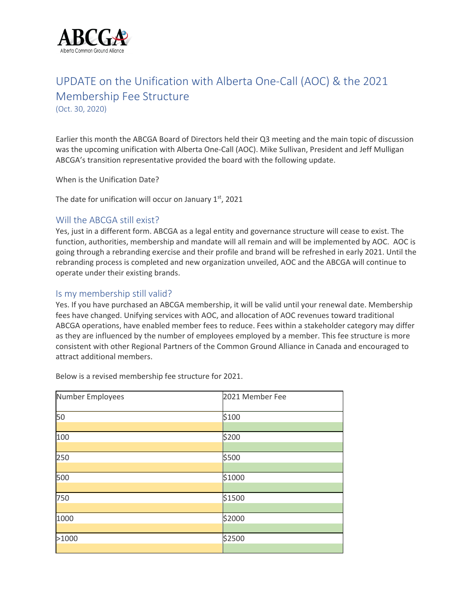

# UPDATE on the Unification with Alberta One-Call (AOC) & the 2021 Membership Fee Structure

(Oct. 30, 2020)

Earlier this month the ABCGA Board of Directors held their Q3 meeting and the main topic of discussion was the upcoming unification with Alberta One-Call (AOC). Mike Sullivan, President and Jeff Mulligan ABCGA's transition representative provided the board with the following update.

When is the Unification Date?

The date for unification will occur on January  $1<sup>st</sup>$ , 2021

#### Will the ABCGA still exist?

Yes, just in a different form. ABCGA as a legal entity and governance structure will cease to exist. The function, authorities, membership and mandate will all remain and will be implemented by AOC. AOC is going through a rebranding exercise and their profile and brand will be refreshed in early 2021. Until the rebranding process is completed and new organization unveiled, AOC and the ABCGA will continue to operate under their existing brands.

### Is my membership still valid?

Yes. If you have purchased an ABCGA membership, it will be valid until your renewal date. Membership fees have changed. Unifying services with AOC, and allocation of AOC revenues toward traditional ABCGA operations, have enabled member fees to reduce. Fees within a stakeholder category may differ as they are influenced by the number of employees employed by a member. This fee structure is more consistent with other Regional Partners of the Common Ground Alliance in Canada and encouraged to attract additional members.

| Number Employees | 2021 Member Fee |
|------------------|-----------------|
| 50               | \$100           |
|                  |                 |
| 100              | \$200           |
|                  |                 |
| 250              | \$500           |
|                  |                 |
| 500              | \$1000          |
|                  |                 |
| 750              | \$1500          |
|                  |                 |
| 1000             | \$2000          |
|                  |                 |
| >1000            | \$2500          |
|                  |                 |

Below is a revised membership fee structure for 2021.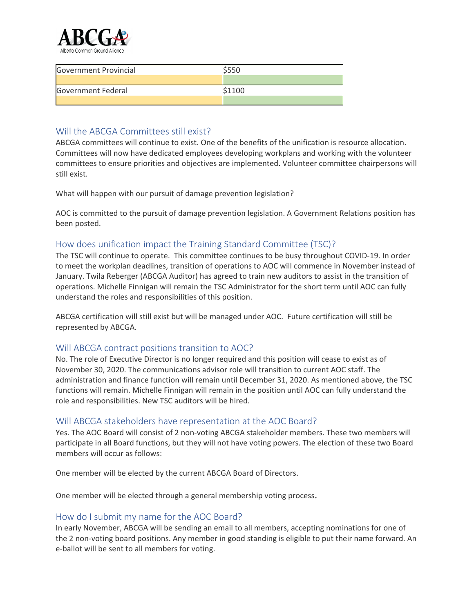

| <b>Government Provincial</b> |       |
|------------------------------|-------|
|                              |       |
| <b>Government Federal</b>    | S1100 |
|                              |       |

## Will the ABCGA Committees still exist?

ABCGA committees will continue to exist. One of the benefits of the unification is resource allocation. Committees will now have dedicated employees developing workplans and working with the volunteer committees to ensure priorities and objectives are implemented. Volunteer committee chairpersons will still exist.

What will happen with our pursuit of damage prevention legislation?

AOC is committed to the pursuit of damage prevention legislation. A Government Relations position has been posted.

## How does unification impact the Training Standard Committee (TSC)?

The TSC will continue to operate. This committee continues to be busy throughout COVID-19. In order to meet the workplan deadlines, transition of operations to AOC will commence in November instead of January. Twila Reberger (ABCGA Auditor) has agreed to train new auditors to assist in the transition of operations. Michelle Finnigan will remain the TSC Administrator for the short term until AOC can fully understand the roles and responsibilities of this position.

ABCGA certification will still exist but will be managed under AOC. Future certification will still be represented by ABCGA.

### Will ABCGA contract positions transition to AOC?

No. The role of Executive Director is no longer required and this position will cease to exist as of November 30, 2020. The communications advisor role will transition to current AOC staff. The administration and finance function will remain until December 31, 2020. As mentioned above, the TSC functions will remain. Michelle Finnigan will remain in the position until AOC can fully understand the role and responsibilities. New TSC auditors will be hired.

### Will ABCGA stakeholders have representation at the AOC Board?

Yes. The AOC Board will consist of 2 non-voting ABCGA stakeholder members. These two members will participate in all Board functions, but they will not have voting powers. The election of these two Board members will occur as follows:

One member will be elected by the current ABCGA Board of Directors.

One member will be elected through a general membership voting process.

### How do I submit my name for the AOC Board?

In early November, ABCGA will be sending an email to all members, accepting nominations for one of the 2 non-voting board positions. Any member in good standing is eligible to put their name forward. An e-ballot will be sent to all members for voting.